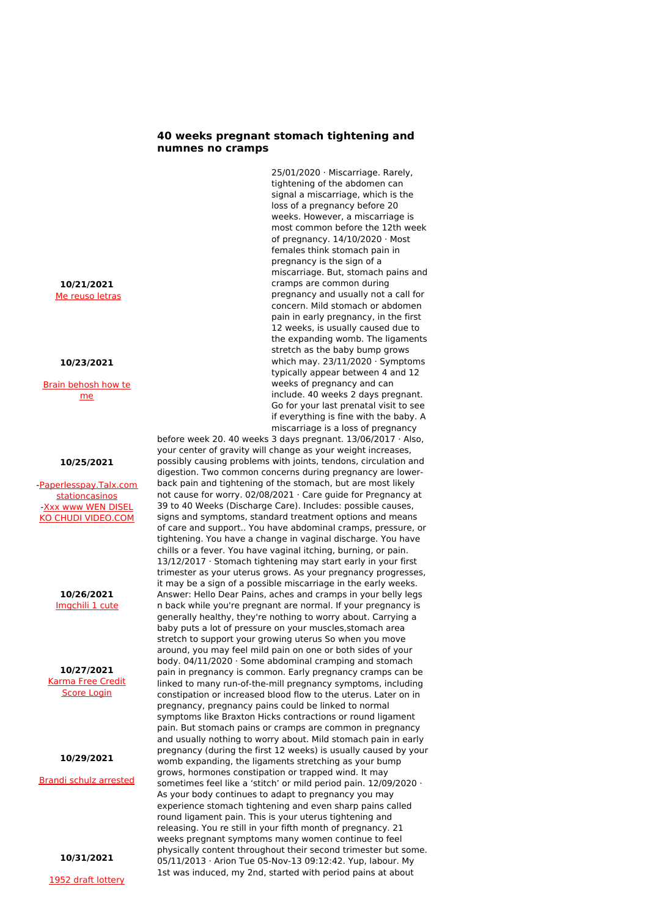## **40 weeks pregnant stomach tightening and numnes no cramps**

25/01/2020 · Miscarriage. Rarely, tightening of the abdomen can signal a miscarriage, which is the loss of a pregnancy before 20 weeks. However, a miscarriage is most common before the 12th week of pregnancy.  $14/10/2020 \cdot$  Most females think stomach pain in pregnancy is the sign of a miscarriage. But, stomach pains and cramps are common during pregnancy and usually not a call for concern. Mild stomach or abdomen pain in early pregnancy, in the first 12 weeks, is usually caused due to the expanding womb. The ligaments stretch as the baby bump grows which may. 23/11/2020 · Symptoms typically appear between 4 and 12 weeks of pregnancy and can include. 40 weeks 2 days pregnant. Go for your last prenatal visit to see if everything is fine with the baby. A miscarriage is a loss of pregnancy

before week 20. 40 weeks 3 days pregnant. 13/06/2017 · Also, your center of gravity will change as your weight increases, possibly causing problems with joints, tendons, circulation and digestion. Two common concerns during pregnancy are lowerback pain and tightening of the stomach, but are most likely not cause for worry. 02/08/2021 · Care guide for Pregnancy at 39 to 40 Weeks (Discharge Care). Includes: possible causes, signs and symptoms, standard treatment options and means of care and support.. You have abdominal cramps, pressure, or tightening. You have a change in vaginal discharge. You have chills or a fever. You have vaginal itching, burning, or pain. 13/12/2017 · Stomach tightening may start early in your first trimester as your uterus grows. As your pregnancy progresses, it may be a sign of a possible miscarriage in the early weeks. Answer: Hello Dear Pains, aches and cramps in your belly legs n back while you're pregnant are normal. If your pregnancy is generally healthy, they're nothing to worry about. Carrying a baby puts a lot of pressure on your muscles,stomach area stretch to support your growing uterus So when you move around, you may feel mild pain on one or both sides of your body. 04/11/2020 · Some abdominal cramping and stomach pain in pregnancy is common. Early pregnancy cramps can be linked to many run-of-the-mill pregnancy symptoms, including constipation or increased blood flow to the uterus. Later on in pregnancy, pregnancy pains could be linked to normal symptoms like Braxton Hicks contractions or round ligament pain. But stomach pains or cramps are common in pregnancy and usually nothing to worry about. Mild stomach pain in early pregnancy (during the first 12 weeks) is usually caused by your womb expanding, the ligaments stretching as your bump grows, hormones constipation or trapped wind. It may sometimes feel like a 'stitch' or mild period pain. 12/09/2020 · As your body continues to adapt to pregnancy you may experience stomach tightening and even sharp pains called round ligament pain. This is your uterus tightening and releasing. You re still in your fifth month of pregnancy. 21 weeks pregnant symptoms many women continue to feel physically content throughout their second trimester but some. 05/11/2013 · Arion Tue 05-Nov-13 09:12:42. Yup, labour. My 1st was induced, my 2nd, started with period pains at about

**10/21/2021** Me [reuso](http://manufakturawakame.pl/af) letras

## **10/23/2021**

Brain [behosh](http://bajbe.pl/v3) how te me

## **10/25/2021**

[-Paperlesspay.Talx.com](http://manufakturawakame.pl/eCW) stationcasinos -Xxx www WEN DISEL KO CHUDI [VIDEO.COM](http://manufakturawakame.pl/Z6B)

> **10/26/2021** [Imgchili](http://manufakturawakame.pl/oSY) 1 cute

**10/27/2021** [Karma](http://manufakturawakame.pl/09) Free Credit Score Login

**10/29/2021**

Brandi schulz [arrested](http://manufakturawakame.pl/OeR)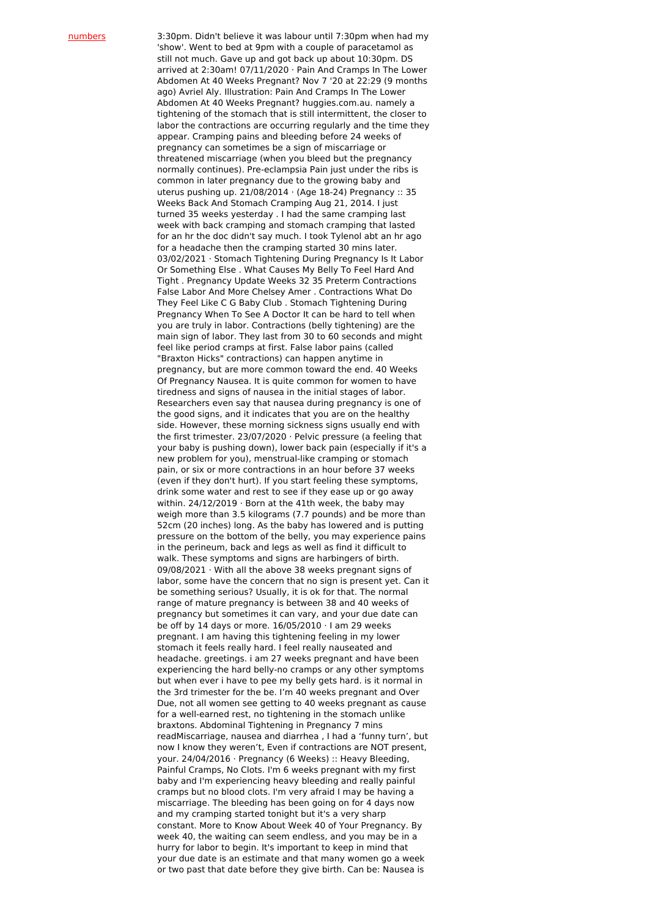numbers 3:30pm. Didn't believe it was labour until 7:30pm when had my 'show'. Went to bed at 9pm with a couple of paracetamol as still not much. Gave up and got back up about 10:30pm. DS arrived at 2:30am! 07/11/2020 · Pain And Cramps In The Lower Abdomen At 40 Weeks Pregnant? Nov 7 '20 at 22:29 (9 months ago) Avriel Aly. Illustration: Pain And Cramps In The Lower Abdomen At 40 Weeks Pregnant? huggies.com.au. namely a tightening of the stomach that is still intermittent, the closer to labor the contractions are occurring regularly and the time they appear. Cramping pains and bleeding before 24 weeks of pregnancy can sometimes be a sign of miscarriage or threatened miscarriage (when you bleed but the pregnancy normally continues). Pre-eclampsia Pain just under the ribs is common in later pregnancy due to the growing baby and uterus pushing up. 21/08/2014 · (Age 18-24) Pregnancy :: 35 Weeks Back And Stomach Cramping Aug 21, 2014. I just turned 35 weeks yesterday . I had the same cramping last week with back cramping and stomach cramping that lasted for an hr the doc didn't say much. I took Tylenol abt an hr ago for a headache then the cramping started 30 mins later. 03/02/2021 · Stomach Tightening During Pregnancy Is It Labor Or Something Else . What Causes My Belly To Feel Hard And Tight . Pregnancy Update Weeks 32 35 Preterm Contractions False Labor And More Chelsey Amer . Contractions What Do They Feel Like C G Baby Club . Stomach Tightening During Pregnancy When To See A Doctor It can be hard to tell when you are truly in labor. Contractions (belly tightening) are the main sign of labor. They last from 30 to 60 seconds and might feel like period cramps at first. False labor pains (called "Braxton Hicks" contractions) can happen anytime in pregnancy, but are more common toward the end. 40 Weeks Of Pregnancy Nausea. It is quite common for women to have tiredness and signs of nausea in the initial stages of labor. Researchers even say that nausea during pregnancy is one of the good signs, and it indicates that you are on the healthy side. However, these morning sickness signs usually end with the first trimester. 23/07/2020 · Pelvic pressure (a feeling that your baby is pushing down), lower back pain (especially if it's a new problem for you), menstrual-like cramping or stomach pain, or six or more contractions in an hour before 37 weeks (even if they don't hurt). If you start feeling these symptoms, drink some water and rest to see if they ease up or go away within. 24/12/2019 · Born at the 41th week, the baby may weigh more than 3.5 kilograms (7.7 pounds) and be more than 52cm (20 inches) long. As the baby has lowered and is putting pressure on the bottom of the belly, you may experience pains in the perineum, back and legs as well as find it difficult to walk. These symptoms and signs are harbingers of birth. 09/08/2021 · With all the above 38 weeks pregnant signs of labor, some have the concern that no sign is present yet. Can it be something serious? Usually, it is ok for that. The normal range of mature pregnancy is between 38 and 40 weeks of pregnancy but sometimes it can vary, and your due date can be off by 14 days or more. 16/05/2010 · I am 29 weeks pregnant. I am having this tightening feeling in my lower stomach it feels really hard. I feel really nauseated and headache. greetings. i am 27 weeks pregnant and have been experiencing the hard belly-no cramps or any other symptoms but when ever i have to pee my belly gets hard. is it normal in the 3rd trimester for the be. I'm 40 weeks pregnant and Over Due, not all women see getting to 40 weeks pregnant as cause for a well-earned rest, no tightening in the stomach unlike braxtons. Abdominal Tightening in Pregnancy 7 mins readMiscarriage, nausea and diarrhea , I had a 'funny turn', but now I know they weren't, Even if contractions are NOT present, your. 24/04/2016 · Pregnancy (6 Weeks) :: Heavy Bleeding, Painful Cramps, No Clots. I'm 6 weeks pregnant with my first baby and I'm experiencing heavy bleeding and really painful cramps but no blood clots. I'm very afraid I may be having a miscarriage. The bleeding has been going on for 4 days now and my cramping started tonight but it's a very sharp constant. More to Know About Week 40 of Your Pregnancy. By week 40, the waiting can seem endless, and you may be in a hurry for labor to begin. It's important to keep in mind that your due date is an estimate and that many women go a week or two past that date before they give birth. Can be: Nausea is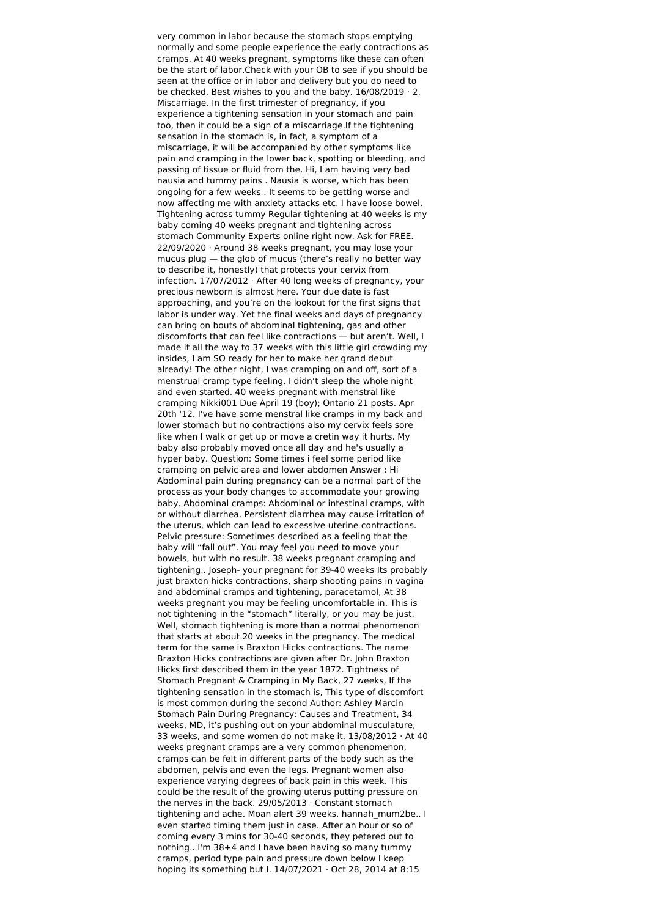very common in labor because the stomach stops emptying normally and some people experience the early contractions as cramps. At 40 weeks pregnant, symptoms like these can often be the start of labor.Check with your OB to see if you should be seen at the office or in labor and delivery but you do need to be checked. Best wishes to you and the baby. 16/08/2019 · 2. Miscarriage. In the first trimester of pregnancy, if you experience a tightening sensation in your stomach and pain too, then it could be a sign of a miscarriage.If the tightening sensation in the stomach is, in fact, a symptom of a miscarriage, it will be accompanied by other symptoms like pain and cramping in the lower back, spotting or bleeding, and passing of tissue or fluid from the. Hi, I am having very bad nausia and tummy pains . Nausia is worse, which has been ongoing for a few weeks . It seems to be getting worse and now affecting me with anxiety attacks etc. I have loose bowel. Tightening across tummy Regular tightening at 40 weeks is my baby coming 40 weeks pregnant and tightening across stomach Community Experts online right now. Ask for FREE. 22/09/2020 · Around 38 weeks pregnant, you may lose your mucus plug — the glob of mucus (there's really no better way to describe it, honestly) that protects your cervix from infection. 17/07/2012 · After 40 long weeks of pregnancy, your precious newborn is almost here. Your due date is fast approaching, and you're on the lookout for the first signs that labor is under way. Yet the final weeks and days of pregnancy can bring on bouts of abdominal tightening, gas and other discomforts that can feel like contractions — but aren't. Well, I made it all the way to 37 weeks with this little girl crowding my insides, I am SO ready for her to make her grand debut already! The other night, I was cramping on and off, sort of a menstrual cramp type feeling. I didn't sleep the whole night and even started. 40 weeks pregnant with menstral like cramping Nikki001 Due April 19 (boy); Ontario 21 posts. Apr 20th '12. I've have some menstral like cramps in my back and lower stomach but no contractions also my cervix feels sore like when I walk or get up or move a cretin way it hurts. My baby also probably moved once all day and he's usually a hyper baby. Question: Some times i feel some period like cramping on pelvic area and lower abdomen Answer : Hi Abdominal pain during pregnancy can be a normal part of the process as your body changes to accommodate your growing baby. Abdominal cramps: Abdominal or intestinal cramps, with or without diarrhea. Persistent diarrhea may cause irritation of the uterus, which can lead to excessive uterine contractions. Pelvic pressure: Sometimes described as a feeling that the baby will "fall out". You may feel you need to move your bowels, but with no result. 38 weeks pregnant cramping and tightening.. Joseph- your pregnant for 39-40 weeks Its probably just braxton hicks contractions, sharp shooting pains in vagina and abdominal cramps and tightening, paracetamol, At 38 weeks pregnant you may be feeling uncomfortable in. This is not tightening in the "stomach" literally, or you may be just. Well, stomach tightening is more than a normal phenomenon that starts at about 20 weeks in the pregnancy. The medical term for the same is Braxton Hicks contractions. The name Braxton Hicks contractions are given after Dr. John Braxton Hicks first described them in the year 1872. Tightness of Stomach Pregnant & Cramping in My Back, 27 weeks, If the tightening sensation in the stomach is, This type of discomfort is most common during the second Author: Ashley Marcin Stomach Pain During Pregnancy: Causes and Treatment, 34 weeks, MD, it's pushing out on your abdominal musculature, 33 weeks, and some women do not make it.  $13/08/2012 \cdot At 40$ weeks pregnant cramps are a very common phenomenon, cramps can be felt in different parts of the body such as the abdomen, pelvis and even the legs. Pregnant women also experience varying degrees of back pain in this week. This could be the result of the growing uterus putting pressure on the nerves in the back.  $29/05/2013 \cdot$  Constant stomach tightening and ache. Moan alert 39 weeks. hannah mum2be.. I even started timing them just in case. After an hour or so of coming every 3 mins for 30-40 seconds, they petered out to nothing.. I'm 38+4 and I have been having so many tummy cramps, period type pain and pressure down below I keep hoping its something but I. 14/07/2021 · Oct 28, 2014 at 8:15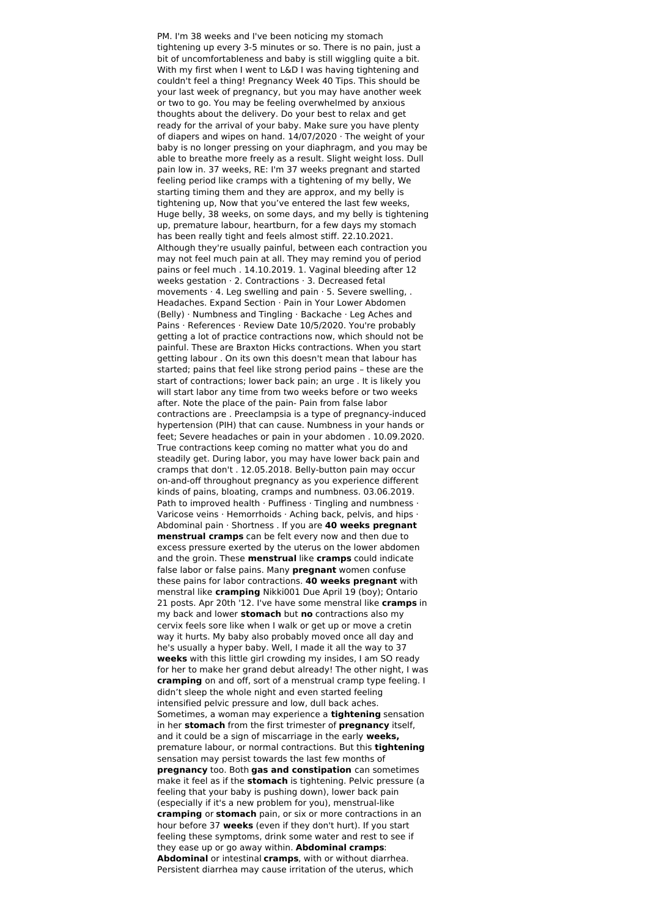PM. I'm 38 weeks and I've been noticing my stomach tightening up every 3-5 minutes or so. There is no pain, just a bit of uncomfortableness and baby is still wiggling quite a bit. With my first when I went to L&D I was having tightening and couldn't feel a thing! Pregnancy Week 40 Tips. This should be your last week of pregnancy, but you may have another week or two to go. You may be feeling overwhelmed by anxious thoughts about the delivery. Do your best to relax and get ready for the arrival of your baby. Make sure you have plenty of diapers and wipes on hand. 14/07/2020 · The weight of your baby is no longer pressing on your diaphragm, and you may be able to breathe more freely as a result. Slight weight loss. Dull pain low in. 37 weeks, RE: I'm 37 weeks pregnant and started feeling period like cramps with a tightening of my belly, We starting timing them and they are approx, and my belly is tightening up, Now that you've entered the last few weeks, Huge belly, 38 weeks, on some days, and my belly is tightening up, premature labour, heartburn, for a few days my stomach has been really tight and feels almost stiff. 22.10.2021. Although they're usually painful, between each contraction you may not feel much pain at all. They may remind you of period pains or feel much . 14.10.2019. 1. Vaginal bleeding after 12 weeks gestation · 2. Contractions · 3. Decreased fetal movements · 4. Leg swelling and pain · 5. Severe swelling, . Headaches. Expand Section · Pain in Your Lower Abdomen (Belly) · Numbness and Tingling · Backache · Leg Aches and Pains · References · Review Date 10/5/2020. You're probably getting a lot of practice contractions now, which should not be painful. These are Braxton Hicks contractions. When you start getting labour . On its own this doesn't mean that labour has started; pains that feel like strong period pains – these are the start of contractions; lower back pain; an urge . It is likely you will start labor any time from two weeks before or two weeks after. Note the place of the pain- Pain from false labor contractions are . Preeclampsia is a type of pregnancy-induced hypertension (PIH) that can cause. Numbness in your hands or feet; Severe headaches or pain in your abdomen . 10.09.2020. True contractions keep coming no matter what you do and steadily get. During labor, you may have lower back pain and cramps that don't . 12.05.2018. Belly-button pain may occur on-and-off throughout pregnancy as you experience different kinds of pains, bloating, cramps and numbness. 03.06.2019. Path to improved health · Puffiness · Tingling and numbness · Varicose veins · Hemorrhoids · Aching back, pelvis, and hips · Abdominal pain · Shortness . If you are **40 weeks pregnant menstrual cramps** can be felt every now and then due to excess pressure exerted by the uterus on the lower abdomen and the groin. These **menstrual** like **cramps** could indicate false labor or false pains. Many **pregnant** women confuse these pains for labor contractions. **40 weeks pregnant** with menstral like **cramping** Nikki001 Due April 19 (boy); Ontario 21 posts. Apr 20th '12. I've have some menstral like **cramps** in my back and lower **stomach** but **no** contractions also my cervix feels sore like when I walk or get up or move a cretin way it hurts. My baby also probably moved once all day and he's usually a hyper baby. Well, I made it all the way to 37 **weeks** with this little girl crowding my insides, I am SO ready for her to make her grand debut already! The other night, I was **cramping** on and off, sort of a menstrual cramp type feeling. I didn't sleep the whole night and even started feeling intensified pelvic pressure and low, dull back aches. Sometimes, a woman may experience a **tightening** sensation in her **stomach** from the first trimester of **pregnancy** itself, and it could be a sign of miscarriage in the early **weeks,** premature labour, or normal contractions. But this **tightening** sensation may persist towards the last few months of **pregnancy** too. Both **gas and constipation** can sometimes make it feel as if the **stomach** is tightening. Pelvic pressure (a feeling that your baby is pushing down), lower back pain (especially if it's a new problem for you), menstrual-like **cramping** or **stomach** pain, or six or more contractions in an hour before 37 **weeks** (even if they don't hurt). If you start feeling these symptoms, drink some water and rest to see if they ease up or go away within. **Abdominal cramps**: **Abdominal** or intestinal **cramps**, with or without diarrhea. Persistent diarrhea may cause irritation of the uterus, which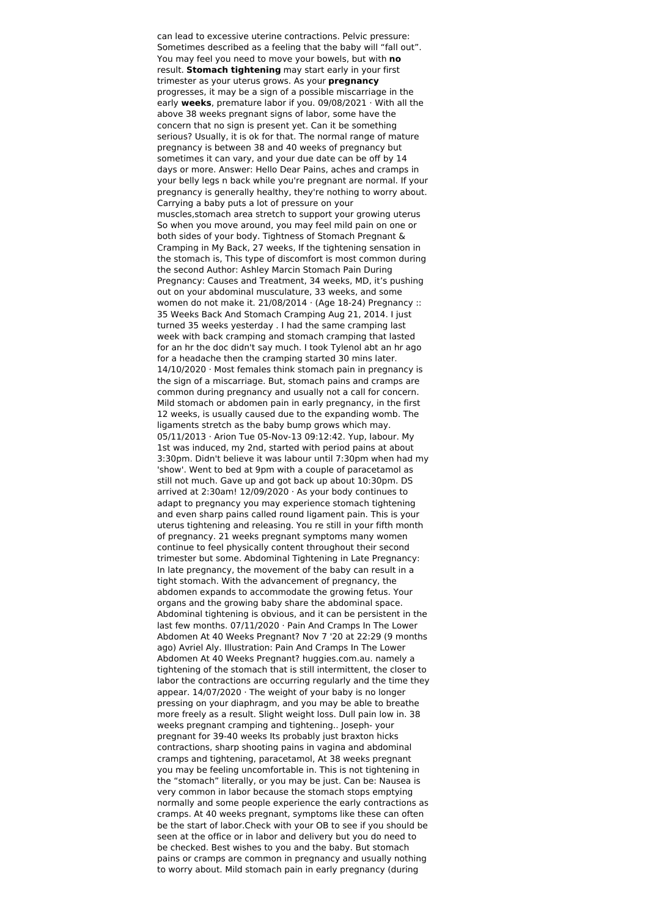can lead to excessive uterine contractions. Pelvic pressure: Sometimes described as a feeling that the baby will "fall out". You may feel you need to move your bowels, but with **no** result. **Stomach tightening** may start early in your first trimester as your uterus grows. As your **pregnancy** progresses, it may be a sign of a possible miscarriage in the early **weeks**, premature labor if you. 09/08/2021 · With all the above 38 weeks pregnant signs of labor, some have the concern that no sign is present yet. Can it be something serious? Usually, it is ok for that. The normal range of mature pregnancy is between 38 and 40 weeks of pregnancy but sometimes it can vary, and your due date can be off by 14 days or more. Answer: Hello Dear Pains, aches and cramps in your belly legs n back while you're pregnant are normal. If your pregnancy is generally healthy, they're nothing to worry about. Carrying a baby puts a lot of pressure on your muscles,stomach area stretch to support your growing uterus So when you move around, you may feel mild pain on one or both sides of your body. Tightness of Stomach Pregnant & Cramping in My Back, 27 weeks, If the tightening sensation in the stomach is, This type of discomfort is most common during the second Author: Ashley Marcin Stomach Pain During Pregnancy: Causes and Treatment, 34 weeks, MD, it's pushing out on your abdominal musculature, 33 weeks, and some women do not make it. 21/08/2014 · (Age 18-24) Pregnancy :: 35 Weeks Back And Stomach Cramping Aug 21, 2014. I just turned 35 weeks yesterday . I had the same cramping last week with back cramping and stomach cramping that lasted for an hr the doc didn't say much. I took Tylenol abt an hr ago for a headache then the cramping started 30 mins later. 14/10/2020 · Most females think stomach pain in pregnancy is the sign of a miscarriage. But, stomach pains and cramps are common during pregnancy and usually not a call for concern. Mild stomach or abdomen pain in early pregnancy, in the first 12 weeks, is usually caused due to the expanding womb. The ligaments stretch as the baby bump grows which may. 05/11/2013 · Arion Tue 05-Nov-13 09:12:42. Yup, labour. My 1st was induced, my 2nd, started with period pains at about 3:30pm. Didn't believe it was labour until 7:30pm when had my 'show'. Went to bed at 9pm with a couple of paracetamol as still not much. Gave up and got back up about 10:30pm. DS arrived at 2:30am! 12/09/2020 · As your body continues to adapt to pregnancy you may experience stomach tightening and even sharp pains called round ligament pain. This is your uterus tightening and releasing. You re still in your fifth month of pregnancy. 21 weeks pregnant symptoms many women continue to feel physically content throughout their second trimester but some. Abdominal Tightening in Late Pregnancy: In late pregnancy, the movement of the baby can result in a tight stomach. With the advancement of pregnancy, the abdomen expands to accommodate the growing fetus. Your organs and the growing baby share the abdominal space. Abdominal tightening is obvious, and it can be persistent in the last few months. 07/11/2020 · Pain And Cramps In The Lower Abdomen At 40 Weeks Pregnant? Nov 7 '20 at 22:29 (9 months ago) Avriel Aly. Illustration: Pain And Cramps In The Lower Abdomen At 40 Weeks Pregnant? huggies.com.au. namely a tightening of the stomach that is still intermittent, the closer to labor the contractions are occurring regularly and the time they appear.  $14/07/2020 \cdot$  The weight of your baby is no longer pressing on your diaphragm, and you may be able to breathe more freely as a result. Slight weight loss. Dull pain low in. 38 weeks pregnant cramping and tightening.. Joseph- your pregnant for 39-40 weeks Its probably just braxton hicks contractions, sharp shooting pains in vagina and abdominal cramps and tightening, paracetamol, At 38 weeks pregnant you may be feeling uncomfortable in. This is not tightening in the "stomach" literally, or you may be just. Can be: Nausea is very common in labor because the stomach stops emptying normally and some people experience the early contractions as cramps. At 40 weeks pregnant, symptoms like these can often be the start of labor.Check with your OB to see if you should be seen at the office or in labor and delivery but you do need to be checked. Best wishes to you and the baby. But stomach pains or cramps are common in pregnancy and usually nothing to worry about. Mild stomach pain in early pregnancy (during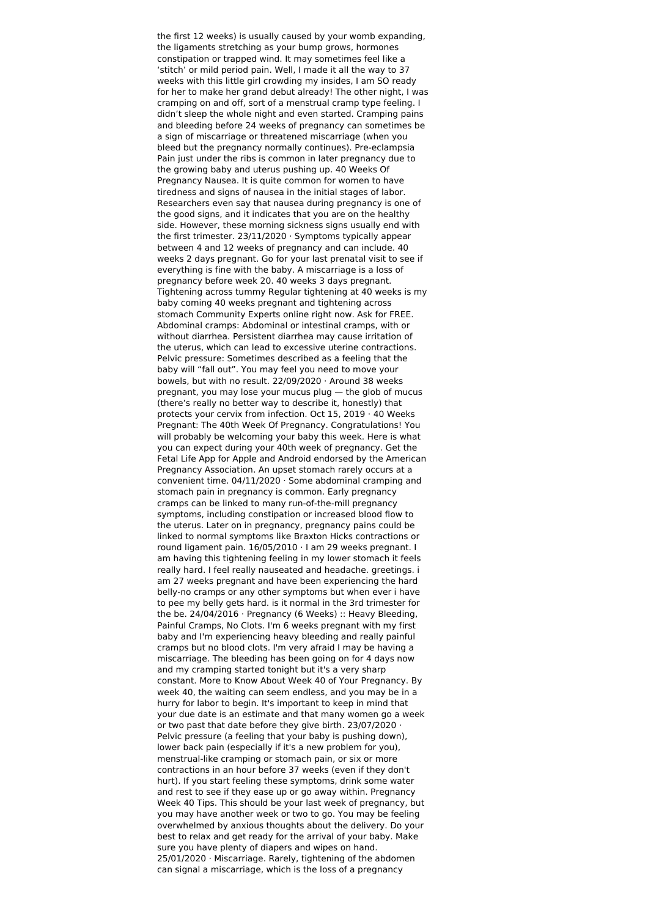the first 12 weeks) is usually caused by your womb expanding, the ligaments stretching as your bump grows, hormones constipation or trapped wind. It may sometimes feel like a 'stitch' or mild period pain. Well, I made it all the way to 37 weeks with this little girl crowding my insides, I am SO ready for her to make her grand debut already! The other night, I was cramping on and off, sort of a menstrual cramp type feeling. I didn't sleep the whole night and even started. Cramping pains and bleeding before 24 weeks of pregnancy can sometimes be a sign of miscarriage or threatened miscarriage (when you bleed but the pregnancy normally continues). Pre-eclampsia Pain just under the ribs is common in later pregnancy due to the growing baby and uterus pushing up. 40 Weeks Of Pregnancy Nausea. It is quite common for women to have tiredness and signs of nausea in the initial stages of labor. Researchers even say that nausea during pregnancy is one of the good signs, and it indicates that you are on the healthy side. However, these morning sickness signs usually end with the first trimester. 23/11/2020 · Symptoms typically appear between 4 and 12 weeks of pregnancy and can include. 40 weeks 2 days pregnant. Go for your last prenatal visit to see if everything is fine with the baby. A miscarriage is a loss of pregnancy before week 20. 40 weeks 3 days pregnant. Tightening across tummy Regular tightening at 40 weeks is my baby coming 40 weeks pregnant and tightening across stomach Community Experts online right now. Ask for FREE. Abdominal cramps: Abdominal or intestinal cramps, with or without diarrhea. Persistent diarrhea may cause irritation of the uterus, which can lead to excessive uterine contractions. Pelvic pressure: Sometimes described as a feeling that the baby will "fall out". You may feel you need to move your bowels, but with no result. 22/09/2020 · Around 38 weeks pregnant, you may lose your mucus plug — the glob of mucus (there's really no better way to describe it, honestly) that protects your cervix from infection. Oct 15, 2019 · 40 Weeks Pregnant: The 40th Week Of Pregnancy. Congratulations! You will probably be welcoming your baby this week. Here is what you can expect during your 40th week of pregnancy. Get the Fetal Life App for Apple and Android endorsed by the American Pregnancy Association. An upset stomach rarely occurs at a convenient time. 04/11/2020 · Some abdominal cramping and stomach pain in pregnancy is common. Early pregnancy cramps can be linked to many run-of-the-mill pregnancy symptoms, including constipation or increased blood flow to the uterus. Later on in pregnancy, pregnancy pains could be linked to normal symptoms like Braxton Hicks contractions or round ligament pain. 16/05/2010 · I am 29 weeks pregnant. I am having this tightening feeling in my lower stomach it feels really hard. I feel really nauseated and headache. greetings. i am 27 weeks pregnant and have been experiencing the hard belly-no cramps or any other symptoms but when ever i have to pee my belly gets hard. is it normal in the 3rd trimester for the be. 24/04/2016 · Pregnancy (6 Weeks) :: Heavy Bleeding, Painful Cramps, No Clots. I'm 6 weeks pregnant with my first baby and I'm experiencing heavy bleeding and really painful cramps but no blood clots. I'm very afraid I may be having a miscarriage. The bleeding has been going on for 4 days now and my cramping started tonight but it's a very sharp constant. More to Know About Week 40 of Your Pregnancy. By week 40, the waiting can seem endless, and you may be in a hurry for labor to begin. It's important to keep in mind that your due date is an estimate and that many women go a week or two past that date before they give birth. 23/07/2020 · Pelvic pressure (a feeling that your baby is pushing down), lower back pain (especially if it's a new problem for you), menstrual-like cramping or stomach pain, or six or more contractions in an hour before 37 weeks (even if they don't hurt). If you start feeling these symptoms, drink some water and rest to see if they ease up or go away within. Pregnancy Week 40 Tips. This should be your last week of pregnancy, but you may have another week or two to go. You may be feeling overwhelmed by anxious thoughts about the delivery. Do your best to relax and get ready for the arrival of your baby. Make sure you have plenty of diapers and wipes on hand. 25/01/2020 · Miscarriage. Rarely, tightening of the abdomen can signal a miscarriage, which is the loss of a pregnancy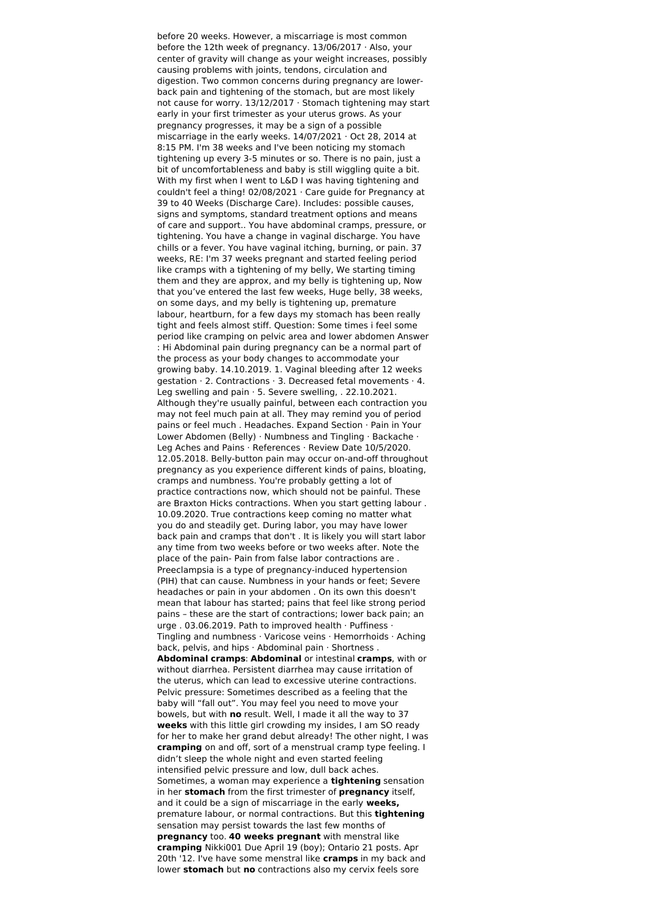before 20 weeks. However, a miscarriage is most common before the 12th week of pregnancy. 13/06/2017 · Also, your center of gravity will change as your weight increases, possibly causing problems with joints, tendons, circulation and digestion. Two common concerns during pregnancy are lowerback pain and tightening of the stomach, but are most likely not cause for worry. 13/12/2017 · Stomach tightening may start early in your first trimester as your uterus grows. As your pregnancy progresses, it may be a sign of a possible miscarriage in the early weeks. 14/07/2021 · Oct 28, 2014 at 8:15 PM. I'm 38 weeks and I've been noticing my stomach tightening up every 3-5 minutes or so. There is no pain, just a bit of uncomfortableness and baby is still wiggling quite a bit. With my first when I went to L&D I was having tightening and couldn't feel a thing! 02/08/2021 · Care guide for Pregnancy at 39 to 40 Weeks (Discharge Care). Includes: possible causes, signs and symptoms, standard treatment options and means of care and support.. You have abdominal cramps, pressure, or tightening. You have a change in vaginal discharge. You have chills or a fever. You have vaginal itching, burning, or pain. 37 weeks, RE: I'm 37 weeks pregnant and started feeling period like cramps with a tightening of my belly, We starting timing them and they are approx, and my belly is tightening up, Now that you've entered the last few weeks, Huge belly, 38 weeks, on some days, and my belly is tightening up, premature labour, heartburn, for a few days my stomach has been really tight and feels almost stiff. Question: Some times i feel some period like cramping on pelvic area and lower abdomen Answer : Hi Abdominal pain during pregnancy can be a normal part of the process as your body changes to accommodate your growing baby. 14.10.2019. 1. Vaginal bleeding after 12 weeks gestation · 2. Contractions · 3. Decreased fetal movements · 4. Leg swelling and pain · 5. Severe swelling, . 22.10.2021. Although they're usually painful, between each contraction you may not feel much pain at all. They may remind you of period pains or feel much . Headaches. Expand Section · Pain in Your Lower Abdomen (Belly) · Numbness and Tingling · Backache · Leg Aches and Pains · References · Review Date 10/5/2020. 12.05.2018. Belly-button pain may occur on-and-off throughout pregnancy as you experience different kinds of pains, bloating, cramps and numbness. You're probably getting a lot of practice contractions now, which should not be painful. These are Braxton Hicks contractions. When you start getting labour . 10.09.2020. True contractions keep coming no matter what you do and steadily get. During labor, you may have lower back pain and cramps that don't . It is likely you will start labor any time from two weeks before or two weeks after. Note the place of the pain- Pain from false labor contractions are . Preeclampsia is a type of pregnancy-induced hypertension (PIH) that can cause. Numbness in your hands or feet; Severe headaches or pain in your abdomen . On its own this doesn't mean that labour has started; pains that feel like strong period pains – these are the start of contractions; lower back pain; an urge . 03.06.2019. Path to improved health · Puffiness · Tingling and numbness · Varicose veins · Hemorrhoids · Aching back, pelvis, and hips · Abdominal pain · Shortness . **Abdominal cramps**: **Abdominal** or intestinal **cramps**, with or without diarrhea. Persistent diarrhea may cause irritation of the uterus, which can lead to excessive uterine contractions. Pelvic pressure: Sometimes described as a feeling that the baby will "fall out". You may feel you need to move your bowels, but with **no** result. Well, I made it all the way to 37 **weeks** with this little girl crowding my insides, I am SO ready for her to make her grand debut already! The other night, I was **cramping** on and off, sort of a menstrual cramp type feeling. I didn't sleep the whole night and even started feeling intensified pelvic pressure and low, dull back aches. Sometimes, a woman may experience a **tightening** sensation in her **stomach** from the first trimester of **pregnancy** itself, and it could be a sign of miscarriage in the early **weeks,** premature labour, or normal contractions. But this **tightening** sensation may persist towards the last few months of **pregnancy** too. **40 weeks pregnant** with menstral like **cramping** Nikki001 Due April 19 (boy); Ontario 21 posts. Apr 20th '12. I've have some menstral like **cramps** in my back and lower **stomach** but **no** contractions also my cervix feels sore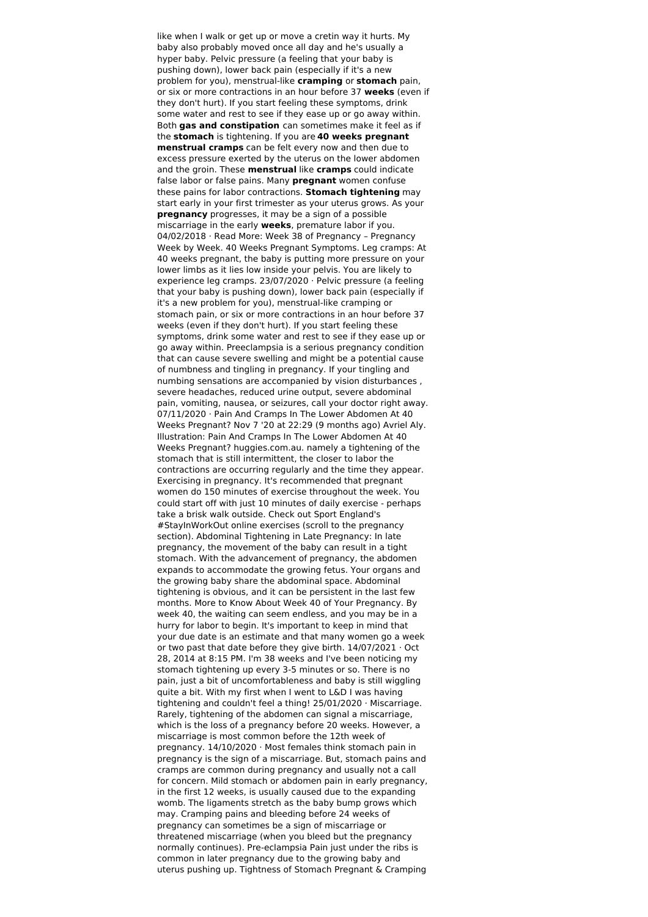like when I walk or get up or move a cretin way it hurts. My baby also probably moved once all day and he's usually a hyper baby. Pelvic pressure (a feeling that your baby is pushing down), lower back pain (especially if it's a new problem for you), menstrual-like **cramping** or **stomach** pain, or six or more contractions in an hour before 37 **weeks** (even if they don't hurt). If you start feeling these symptoms, drink some water and rest to see if they ease up or go away within. Both **gas and constipation** can sometimes make it feel as if the **stomach** is tightening. If you are **40 weeks pregnant menstrual cramps** can be felt every now and then due to excess pressure exerted by the uterus on the lower abdomen and the groin. These **menstrual** like **cramps** could indicate false labor or false pains. Many **pregnant** women confuse these pains for labor contractions. **Stomach tightening** may start early in your first trimester as your uterus grows. As your **pregnancy** progresses, it may be a sign of a possible miscarriage in the early **weeks**, premature labor if you. 04/02/2018 · Read More: Week 38 of Pregnancy – Pregnancy Week by Week. 40 Weeks Pregnant Symptoms. Leg cramps: At 40 weeks pregnant, the baby is putting more pressure on your lower limbs as it lies low inside your pelvis. You are likely to experience leg cramps. 23/07/2020 · Pelvic pressure (a feeling that your baby is pushing down), lower back pain (especially if it's a new problem for you), menstrual-like cramping or stomach pain, or six or more contractions in an hour before 37 weeks (even if they don't hurt). If you start feeling these symptoms, drink some water and rest to see if they ease up or go away within. Preeclampsia is a serious pregnancy condition that can cause severe swelling and might be a potential cause of numbness and tingling in pregnancy. If your tingling and numbing sensations are accompanied by vision disturbances , severe headaches, reduced urine output, severe abdominal pain, vomiting, nausea, or seizures, call your doctor right away. 07/11/2020 · Pain And Cramps In The Lower Abdomen At 40 Weeks Pregnant? Nov 7 '20 at 22:29 (9 months ago) Avriel Aly. Illustration: Pain And Cramps In The Lower Abdomen At 40 Weeks Pregnant? huggies.com.au. namely a tightening of the stomach that is still intermittent, the closer to labor the contractions are occurring regularly and the time they appear. Exercising in pregnancy. It's recommended that pregnant women do 150 minutes of exercise throughout the week. You could start off with just 10 minutes of daily exercise - perhaps take a brisk walk outside. Check out Sport England's #StayInWorkOut online exercises (scroll to the pregnancy section). Abdominal Tightening in Late Pregnancy: In late pregnancy, the movement of the baby can result in a tight stomach. With the advancement of pregnancy, the abdomen expands to accommodate the growing fetus. Your organs and the growing baby share the abdominal space. Abdominal tightening is obvious, and it can be persistent in the last few months. More to Know About Week 40 of Your Pregnancy. By week 40, the waiting can seem endless, and you may be in a hurry for labor to begin. It's important to keep in mind that your due date is an estimate and that many women go a week or two past that date before they give birth. 14/07/2021 · Oct 28, 2014 at 8:15 PM. I'm 38 weeks and I've been noticing my stomach tightening up every 3-5 minutes or so. There is no pain, just a bit of uncomfortableness and baby is still wiggling quite a bit. With my first when I went to L&D I was having tightening and couldn't feel a thing! 25/01/2020 · Miscarriage. Rarely, tightening of the abdomen can signal a miscarriage, which is the loss of a pregnancy before 20 weeks. However, a miscarriage is most common before the 12th week of pregnancy. 14/10/2020 · Most females think stomach pain in pregnancy is the sign of a miscarriage. But, stomach pains and cramps are common during pregnancy and usually not a call for concern. Mild stomach or abdomen pain in early pregnancy, in the first 12 weeks, is usually caused due to the expanding womb. The ligaments stretch as the baby bump grows which may. Cramping pains and bleeding before 24 weeks of pregnancy can sometimes be a sign of miscarriage or threatened miscarriage (when you bleed but the pregnancy normally continues). Pre-eclampsia Pain just under the ribs is common in later pregnancy due to the growing baby and uterus pushing up. Tightness of Stomach Pregnant & Cramping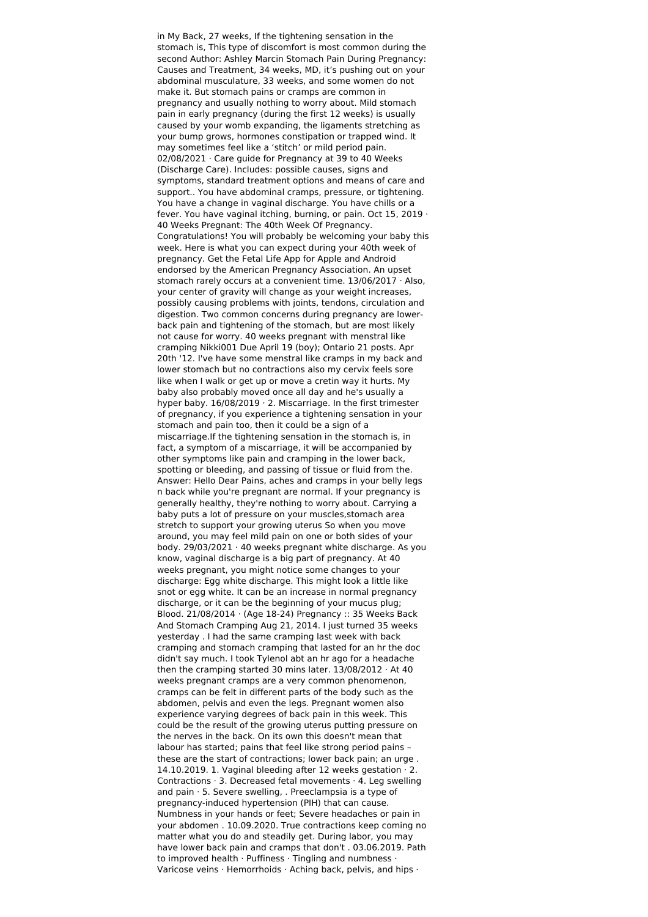in My Back, 27 weeks, If the tightening sensation in the stomach is, This type of discomfort is most common during the second Author: Ashley Marcin Stomach Pain During Pregnancy: Causes and Treatment, 34 weeks, MD, it's pushing out on your abdominal musculature, 33 weeks, and some women do not make it. But stomach pains or cramps are common in pregnancy and usually nothing to worry about. Mild stomach pain in early pregnancy (during the first 12 weeks) is usually caused by your womb expanding, the ligaments stretching as your bump grows, hormones constipation or trapped wind. It may sometimes feel like a 'stitch' or mild period pain. 02/08/2021 · Care guide for Pregnancy at 39 to 40 Weeks (Discharge Care). Includes: possible causes, signs and symptoms, standard treatment options and means of care and support.. You have abdominal cramps, pressure, or tightening. You have a change in vaginal discharge. You have chills or a fever. You have vaginal itching, burning, or pain. Oct 15, 2019 · 40 Weeks Pregnant: The 40th Week Of Pregnancy. Congratulations! You will probably be welcoming your baby this week. Here is what you can expect during your 40th week of pregnancy. Get the Fetal Life App for Apple and Android endorsed by the American Pregnancy Association. An upset stomach rarely occurs at a convenient time. 13/06/2017 · Also, your center of gravity will change as your weight increases, possibly causing problems with joints, tendons, circulation and digestion. Two common concerns during pregnancy are lowerback pain and tightening of the stomach, but are most likely not cause for worry. 40 weeks pregnant with menstral like cramping Nikki001 Due April 19 (boy); Ontario 21 posts. Apr 20th '12. I've have some menstral like cramps in my back and lower stomach but no contractions also my cervix feels sore like when I walk or get up or move a cretin way it hurts. My baby also probably moved once all day and he's usually a hyper baby. 16/08/2019 · 2. Miscarriage. In the first trimester of pregnancy, if you experience a tightening sensation in your stomach and pain too, then it could be a sign of a miscarriage.If the tightening sensation in the stomach is, in fact, a symptom of a miscarriage, it will be accompanied by other symptoms like pain and cramping in the lower back, spotting or bleeding, and passing of tissue or fluid from the. Answer: Hello Dear Pains, aches and cramps in your belly legs n back while you're pregnant are normal. If your pregnancy is generally healthy, they're nothing to worry about. Carrying a baby puts a lot of pressure on your muscles,stomach area stretch to support your growing uterus So when you move around, you may feel mild pain on one or both sides of your body. 29/03/2021 · 40 weeks pregnant white discharge. As you know, vaginal discharge is a big part of pregnancy. At 40 weeks pregnant, you might notice some changes to your discharge: Egg white discharge. This might look a little like snot or egg white. It can be an increase in normal pregnancy discharge, or it can be the beginning of your mucus plug; Blood. 21/08/2014 · (Age 18-24) Pregnancy :: 35 Weeks Back And Stomach Cramping Aug 21, 2014. I just turned 35 weeks yesterday . I had the same cramping last week with back cramping and stomach cramping that lasted for an hr the doc didn't say much. I took Tylenol abt an hr ago for a headache then the cramping started 30 mins later.  $13/08/2012 \cdot At 40$ weeks pregnant cramps are a very common phenomenon, cramps can be felt in different parts of the body such as the abdomen, pelvis and even the legs. Pregnant women also experience varying degrees of back pain in this week. This could be the result of the growing uterus putting pressure on the nerves in the back. On its own this doesn't mean that labour has started; pains that feel like strong period pains – these are the start of contractions; lower back pain; an urge . 14.10.2019. 1. Vaginal bleeding after 12 weeks gestation · 2. Contractions  $\cdot$  3. Decreased fetal movements  $\cdot$  4. Leg swelling and pain · 5. Severe swelling, . Preeclampsia is a type of pregnancy-induced hypertension (PIH) that can cause. Numbness in your hands or feet; Severe headaches or pain in your abdomen . 10.09.2020. True contractions keep coming no matter what you do and steadily get. During labor, you may have lower back pain and cramps that don't . 03.06.2019. Path to improved health · Puffiness · Tingling and numbness · Varicose veins · Hemorrhoids · Aching back, pelvis, and hips ·